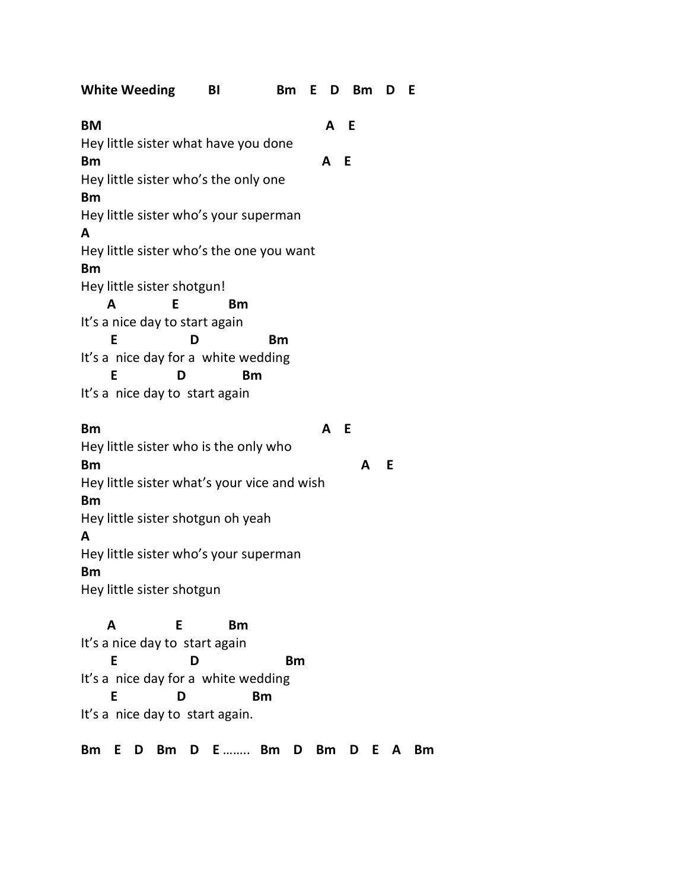| <b>White Weeding</b>                                     | BI        | Bm E D Bm D |     |     |   |   | E |
|----------------------------------------------------------|-----------|-------------|-----|-----|---|---|---|
| <b>BM</b>                                                |           |             | A E |     |   |   |   |
| Hey little sister what have you done<br><b>Bm</b>        |           |             | A   | - E |   |   |   |
| Hey little sister who's the only one                     |           |             |     |     |   |   |   |
| <b>Bm</b>                                                |           |             |     |     |   |   |   |
| Hey little sister who's your superman<br>A               |           |             |     |     |   |   |   |
| Hey little sister who's the one you want                 |           |             |     |     |   |   |   |
| <b>Bm</b>                                                |           |             |     |     |   |   |   |
| Hey little sister shotgun!                               |           |             |     |     |   |   |   |
| Е<br>A                                                   | <b>Bm</b> |             |     |     |   |   |   |
| It's a nice day to start again                           |           |             |     |     |   |   |   |
| E                                                        | D         | Bm          |     |     |   |   |   |
| It's a nice day for a white wedding                      |           |             |     |     |   |   |   |
| Е                                                        | <b>Bm</b> |             |     |     |   |   |   |
| It's a nice day to start again                           |           |             |     |     |   |   |   |
| <b>Bm</b>                                                |           |             | A   | - E |   |   |   |
| Hey little sister who is the only who                    |           |             |     |     |   |   |   |
| <b>Bm</b>                                                |           |             |     |     | A | E |   |
| Hey little sister what's your vice and wish<br><b>Bm</b> |           |             |     |     |   |   |   |
| Hey little sister shotgun oh yeah                        |           |             |     |     |   |   |   |
| A                                                        |           |             |     |     |   |   |   |
| Hey little sister who's your superman                    |           |             |     |     |   |   |   |
| <b>Bm</b>                                                |           |             |     |     |   |   |   |
| Hey little sister shotgun                                |           |             |     |     |   |   |   |
| A<br>E                                                   | Bm        |             |     |     |   |   |   |
| It's a nice day to start again                           |           |             |     |     |   |   |   |
| E                                                        | D         | Bm          |     |     |   |   |   |
| It's a nice day for a white wedding                      |           |             |     |     |   |   |   |
| E<br>D                                                   | Bm        |             |     |     |   |   |   |
| It's a nice day to start again.                          |           |             |     |     |   |   |   |
|                                                          |           |             |     |     |   |   |   |

**Bm E D Bm D E** …….. **Bm D Bm D E A Bm**